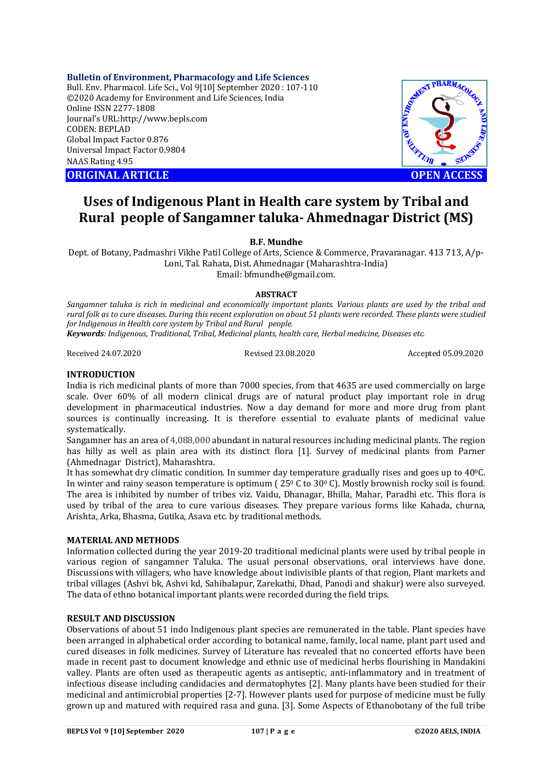### **Bulletin of Environment, Pharmacology and Life Sciences**

Bull. Env. Pharmacol. Life Sci., Vol 9[10] September 2020 : 107-110 ©2020 Academy for Environment and Life Sciences, India Online ISSN 2277-1808 Journal's URL:<http://www.bepls.com> CODEN: BEPLAD Global Impact Factor 0.876 Universal Impact Factor 0.9804 NAAS Rating 4.95

**CORIGINAL ARTICLE CONSUMING AND INCOMEDIATE OPEN ACCESS** 



# **Uses of Indigenous Plant in Health care system by Tribal and Rural people of Sangamner taluka- Ahmednagar District (MS)**

**B.F. Mundhe** 

Dept. of Botany, Padmashri Vikhe Patil College of Arts, Science & Commerce, Pravaranagar. 413 713, A/p-Loni, Tal. Rahata, Dist. Ahmednagar (Maharashtra-India) Email: [bfmundhe@gmail.com.](mailto:bfmundhe@gmail.com.)

**ABSTRACT**

*Sangamner taluka is rich in medicinal and economically important plants. Various plants are used by the tribal and rural folk as to cure diseases. During this recent exploration on about 51 plants were recorded. These plants were studied for Indigenous in Health care system by Tribal and Rural people.* 

*Keywords: Indigenous, Traditional, Tribal, Medicinal plants, health care, Herbal medicine, Diseases etc*.

Received 24.07.2020 Revised 23.08.2020 Accepted 05.09.2020

### **INTRODUCTION**

India is rich medicinal plants of more than 7000 species, from that 4635 are used commercially on large scale. Over 60% of all modern clinical drugs are of natural product play important role in drug development in pharmaceutical industries. Now a day demand for more and more drug from plant sources is continually increasing. It is therefore essential to evaluate plants of medicinal value systematically.

Sangamner has an area of 4,088,000 abundant in natural resources including medicinal plants. The region has hilly as well as plain area with its distinct flora [1]. Survey of medicinal plants from Parner (Ahmednagar District), Maharashtra.

It has somewhat dry climatic condition. In summer day temperature gradually rises and goes up to  $40^{\circ}$ C. In winter and rainy season temperature is optimum ( 25<sup>0</sup> C to 30<sup>0</sup> C). Mostly brownish rocky soil is found. The area is inhibited by number of tribes viz. Vaidu, Dhanagar, Bhilla, Mahar, Paradhi etc. This flora is used by tribal of the area to cure various diseases. They prepare various forms like Kahada, churna, Arishta, Arka, Bhasma, Gutika, Asava etc. by traditional methods.

# **MATERIAL AND METHODS**

Information collected during the year 2019-20 traditional medicinal plants were used by tribal people in various region of sangamner Taluka. The usual personal observations, oral interviews have done. Discussions with villagers, who have knowledge about indivisible plants of that region, Plant markets and tribal villages (Ashvi bk, Ashvi kd, Sahibalapur, Zarekathi, Dhad, Panodi and shakur) were also surveyed. The data of ethno botanical important plants were recorded during the field trips.

# **RESULT AND DISCUSSION**

Observations of about 51 indo Indigenous plant species are remunerated in the table. Plant species have been arranged in alphabetical order according to botanical name, family, local name, plant part used and cured diseases in folk medicines. Survey of Literature has revealed that no concerted efforts have been made in recent past to document knowledge and ethnic use of medicinal herbs flourishing in Mandakini valley. Plants are often used as therapeutic agents as antiseptic, anti-inflammatory and in treatment of infectious disease including candidacies and dermatophytes [2]. Many plants have been studied for their medicinal and antimicrobial properties [2-7]. However plants used for purpose of medicine must be fully grown up and matured with required rasa and guna. [3]. Some Aspects of Ethanobotany of the full tribe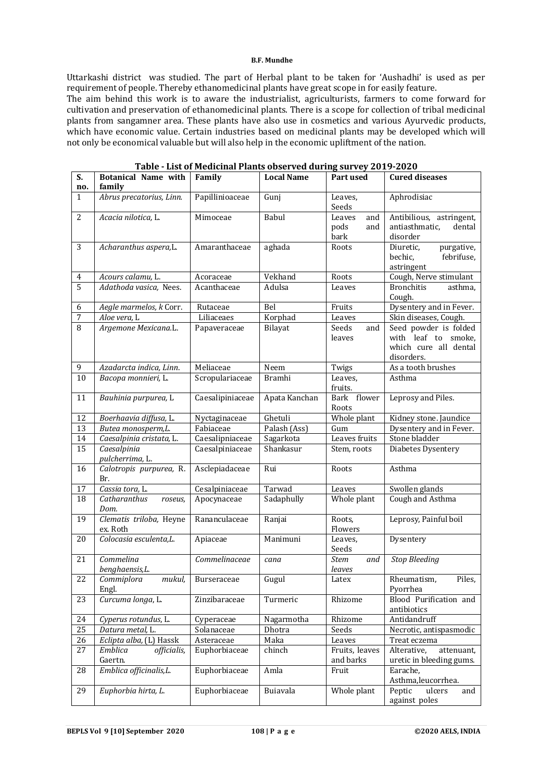#### **B.F. Mundhe**

Uttarkashi district was studied. The part of Herbal plant to be taken for 'Aushadhi' is used as per requirement of people. Thereby ethanomedicinal plants have great scope in for easily feature.

The aim behind this work is to aware the industrialist, agriculturists, farmers to come forward for cultivation and preservation of ethanomedicinal plants. There is a scope for collection of tribal medicinal plants from sangamner area. These plants have also use in cosmetics and various Ayurvedic products, which have economic value. Certain industries based on medicinal plants may be developed which will not only be economical valuable but will also help in the economic upliftment of the nation.

| S.<br>no.       | <b>Botanical Name with</b><br>family | Family           | <b>Local Name</b> | Part used                            | <b>Cured diseases</b>                                                               |
|-----------------|--------------------------------------|------------------|-------------------|--------------------------------------|-------------------------------------------------------------------------------------|
| $\mathbf{1}$    | Abrus precatorius, Linn.             | Papillinioaceae  | Gunj              | Leaves,<br>Seeds                     | Aphrodisiac                                                                         |
| $\overline{2}$  | Acacia nilotica, L.                  | Mimoceae         | Babul             | Leaves<br>and<br>pods<br>and<br>bark | Antibilious, astringent,<br>antiasthmatic,<br>dental<br>disorder                    |
| 3               | Acharanthus aspera,L.                | Amaranthaceae    | aghada            | Roots                                | Diuretic,<br>purgative,<br>bechic,<br>febrifuse,<br>astringent                      |
| $\overline{4}$  | Acours calamu, L.                    | Acoraceae        | Vekhand           | Roots                                | Cough, Nerve stimulant                                                              |
| $\overline{5}$  | Adathoda vasica, Nees.               | Acanthaceae      | Adulsa            | Leaves                               | <b>Bronchitis</b><br>asthma,<br>Cough.                                              |
| 6               | Aegle marmelos, k Corr.              | Rutaceae         | Bel               | Fruits                               | Dysentery and in Fever.                                                             |
| 7               | Aloe vera, L                         | Liliaceaes       | Korphad           | Leaves                               | Skin diseases, Cough.                                                               |
| $\overline{8}$  | Argemone Mexicana.L.                 | Papaveraceae     | Bilayat           | Seeds<br>and<br>leaves               | Seed powder is folded<br>with leaf to smoke,<br>which cure all dental<br>disorders. |
| 9               | Azadarcta indica, Linn.              | Meliaceae        | Neem              | Twigs                                | As a tooth brushes                                                                  |
| $10\,$          | Bacopa monnieri, L.                  | Scropulariaceae  | <b>Bramhi</b>     | Leaves,<br>fruits.                   | Asthma                                                                              |
| 11              | Bauhinia purpurea, L                 | Caesalipiniaceae | Apata Kanchan     | Bark flower<br>Roots                 | Leprosy and Piles.                                                                  |
| 12              | Boerhaavia diffusa, L.               | Nyctaginaceae    | Ghetuli           | Whole plant                          | Kidney stone. Jaundice                                                              |
| 13              | Butea monosperm,L.                   | Fabiaceae        | Palash (Ass)      | Gum                                  | Dysentery and in Fever.                                                             |
| 14              | Caesalpinia cristata, L.             | Caesalipniaceae  | Sagarkota         | Leaves fruits                        | Stone bladder                                                                       |
| $\overline{15}$ | Caesalpinia<br>pulcherrima, L.       | Caesalpiniaceae  | Shankasur         | Stem, roots                          | Diabetes Dysentery                                                                  |
| 16              | Calotropis purpurea, R.<br>Br.       | Asclepiadaceae   | Rui               | Roots                                | Asthma                                                                              |
| 17              | Cassia tora, L.                      | Cesalpiniaceae   | Tarwad            | Leaves                               | Swollen glands                                                                      |
| 18              | Catharanthus<br>roseus,<br>Dom.      | Apocynaceae      | Sadaphully        | Whole plant                          | Cough and Asthma                                                                    |
| 19              | Clematis triloba, Heyne<br>ex. Roth  | Rananculaceae    | Ranjai            | Roots,<br>Flowers                    | Leprosy, Painful boil                                                               |
| 20              | Colocasia esculenta,L.               | Apiaceae         | Manimuni          | Leaves,<br>Seeds                     | Dysentery                                                                           |
| 21              | Commelina<br>benghaensis,L.          | Commelinaceae    | cana              | <i>Stem</i><br>and<br>leaves         | <b>Stop Bleeding</b>                                                                |
| 22              | Commiplora<br>mukul,<br>Engl.        | Burseraceae      | Gugul             | Latex                                | Rheumatism,<br>Piles,<br>Pyorrhea                                                   |
| 23              | Curcuma longa, L.                    | Zinzibaraceae    | Turmeric          | Rhizome                              | Blood Purification and<br>antibiotics                                               |
| 24              | Cyperus rotundus, L.                 | Cyperaceae       | Nagarmotha        | Rhizome                              | Antidandruff                                                                        |
| 25              | Datura metal, L.                     | Solanaceae       | Dhotra            | Seeds                                | Necrotic, antispasmodic                                                             |
| 26              | Eclipta alba, (L) Hassk              | Asteraceae       | Maka              | Leaves                               | Treat eczema                                                                        |
| 27              | Emblica<br>officialis,<br>Gaertn.    | Euphorbiaceae    | chinch            | Fruits, leaves<br>and barks          | Alterative,<br>attenuant,<br>uretic in bleeding gums.                               |
| 28              | Emblica officinalis,L.               | Euphorbiaceae    | Amla              | Fruit                                | Earache,<br>Asthma, leucorrhea.                                                     |
| 29              | Euphorbia hirta, L.                  | Euphorbiaceae    | Buiavala          | Whole plant                          | Peptic<br>ulcers<br>and<br>against poles                                            |

**Table - List of Medicinal Plants observed during survey 2019-2020**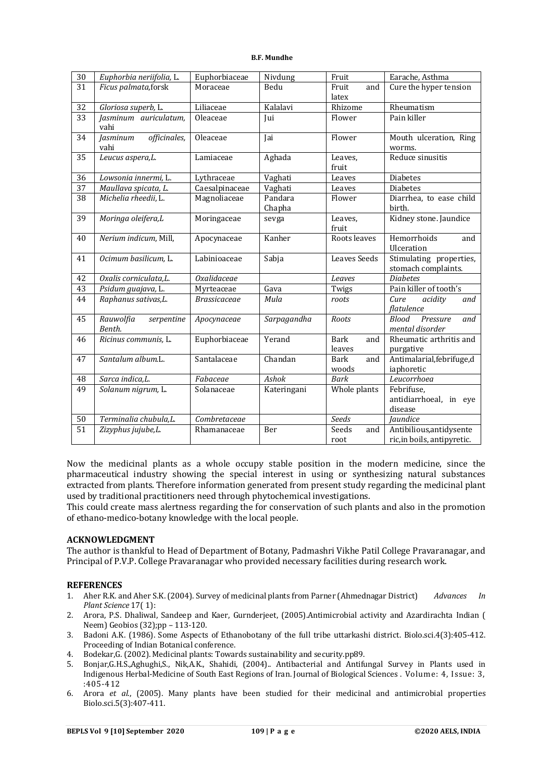#### **B.F. Mundhe**

| $\overline{30}$ | Euphorbia neriifolia, L.          | Euphorbiaceae       | Nivdung           | Fruit                 | Earache, Asthma                                         |
|-----------------|-----------------------------------|---------------------|-------------------|-----------------------|---------------------------------------------------------|
| 31              | Ficus palmata, forsk              | Moraceae            | Bedu              | Fruit<br>and<br>latex | Cure the hyper tension                                  |
| 32              | Gloriosa superb, L.               | Liliaceae           | Kalalavi          | Rhizome               | Rheumatism                                              |
| 33              | Jasminum auriculatum,<br>vahi     | Oleaceae            | Jui               | Flower                | Pain killer                                             |
| 34              | officinales,<br>Jasminum<br>vahi  | Oleaceae            | Jai               | Flower                | Mouth ulceration, Ring<br>worms.                        |
| 35              | Leucus aspera, L.                 | Lamiaceae           | Aghada            | Leaves,<br>fruit      | Reduce sinusitis                                        |
| 36              | Lowsonia innermi, L.              | Lythraceae          | Vaghati           | Leaves                | Diabetes                                                |
| $\overline{37}$ | Maullava spicata, L.              | Caesalpinaceae      | Vaghati           | Leaves                | <b>Diabetes</b>                                         |
| 38              | Michelia rheedii, L.              | Magnoliaceae        | Pandara<br>Chapha | Flower                | Diarrhea, to ease child<br>birth.                       |
| 39              | Moringa oleifera,L                | Moringaceae         | sevga             | Leaves,<br>fruit      | Kidney stone. Jaundice                                  |
| 40              | Nerium indicum, Mill,             | Apocynaceae         | Kanher            | Roots leaves          | Hemorrhoids<br>and<br>Ulceration                        |
| 41              | Ocimum basilicum, L.              | Labinioaceae        | Sabja             | <b>Leaves Seeds</b>   | Stimulating properties,<br>stomach complaints.          |
| 42              | Oxalis corniculata,L.             | <b>Oxalidaceae</b>  |                   | Leaves                | <b>Diabetes</b>                                         |
| 43              | Psidum guajava, L.                | Myrteaceae          | Gava              | Twigs                 | Pain killer of tooth's                                  |
| 44              | Raphanus sativas,L.               | <b>Brassicaceae</b> | Mula              | roots                 | Cure<br>acidity<br>and<br>flatulence                    |
| 45              | Rauwolfia<br>serpentine<br>Benth. | Apocynaceae         | Sarpagandha       | <b>Roots</b>          | <b>Blood</b><br>Pressure<br>and<br>mental disorder      |
| 46              | Ricinus communis, L.              | Euphorbiaceae       | Yerand            | Bark<br>and<br>leaves | Rheumatic arthritis and<br>purgative                    |
| 47              | Santalum album.L.                 | Santalaceae         | Chandan           | Bark<br>and<br>woods  | Antimalarial, febrifuge, d<br>iaphoretic                |
| 48              | Sarca indica,L.                   | Fabaceae            | Ashok             | <b>Bark</b>           | Leucorrhoea                                             |
| 49              | Solanum nigrum, L.                | Solanaceae          | Kateringani       | Whole plants          | Febrifuse,<br>antidiarrhoeal, in eye<br>disease         |
| 50              | Terminalia chubula, L.            | Combretaceae        |                   | Seeds                 | Jaundice                                                |
| $\overline{51}$ | Zizyphus jujube, L.               | Rhamanaceae         | Ber               | Seeds<br>and<br>root  | Antibilious, antidysente<br>ric, in boils, antipyretic. |

Now the medicinal plants as a whole occupy stable position in the modern medicine, since the pharmaceutical industry showing the special interest in using or synthesizing natural substances extracted from plants. Therefore information generated from present study regarding the medicinal plant used by traditional practitioners need through phytochemical investigations.

This could create mass alertness regarding the for conservation of such plants and also in the promotion of ethano-medico-botany knowledge with the local people.

# **ACKNOWLEDGMENT**

The author is thankful to Head of Department of Botany, Padmashri Vikhe Patil College Pravaranagar, and Principal of P.V.P. College Pravaranagar who provided necessary facilities during research work.

# **REFERENCES**

- 1. Aher R.K. and Aher S.K. (2004). Survey of medicinal plants from Parner (Ahmednagar District) *Advances In Plant Science* 17( 1):
- 2. Arora, P.S. Dhaliwal, Sandeep and Kaer, Gurnderjeet, (2005).Antimicrobial activity and Azardirachta Indian ( Neem) Geobios (32);pp – 113-120.
- 3. Badoni A.K. (1986). Some Aspects of Ethanobotany of the full tribe uttarkashi district. Biolo.sci.4(3):405-412. Proceeding of Indian Botanical conference.
- 4. Bodekar,G. (2002). Medicinal plants: Towards sustainability and security.pp89.
- 5. Bonjar,G.H.S.,Aghughi,S., Nik,A.K., Shahidi, (2004).. Antibacterial and Antifungal Survey in Plants used in Indigenous Herbal-Medicine of South East Regions of Iran. Journal of Biological Sciences . Volume: 4, Issue: 3, :405-412
- 6. Arora *et al*., (2005). Many plants have been studied for their medicinal and antimicrobial properties Biolo.sci.5(3):407-411.